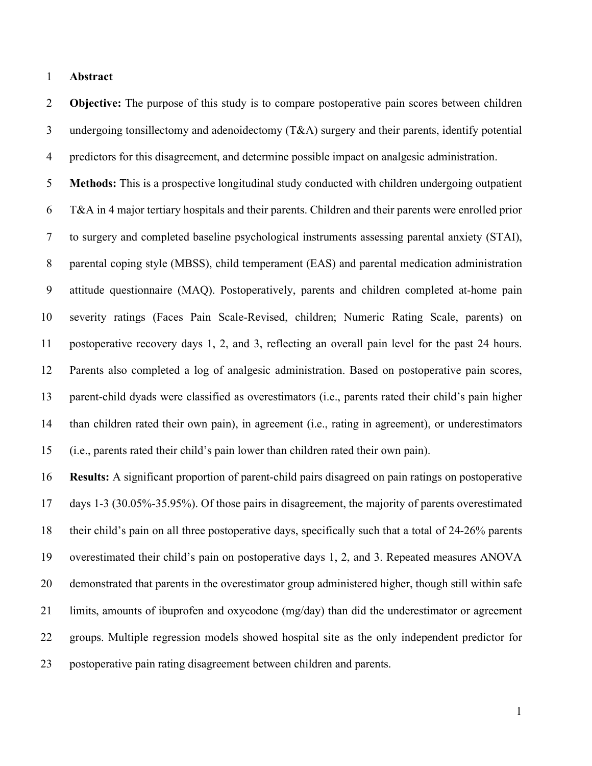## **Abstract**

 **Objective:** The purpose of this study is to compare postoperative pain scores between children undergoing tonsillectomy and adenoidectomy (T&A) surgery and their parents, identify potential predictors for this disagreement, and determine possible impact on analgesic administration.

 **Methods:** This is a prospective longitudinal study conducted with children undergoing outpatient T&A in 4 major tertiary hospitals and their parents. Children and their parents were enrolled prior to surgery and completed baseline psychological instruments assessing parental anxiety (STAI), parental coping style (MBSS), child temperament (EAS) and parental medication administration attitude questionnaire (MAQ). Postoperatively, parents and children completed at-home pain severity ratings (Faces Pain Scale-Revised, children; Numeric Rating Scale, parents) on postoperative recovery days 1, 2, and 3, reflecting an overall pain level for the past 24 hours. Parents also completed a log of analgesic administration. Based on postoperative pain scores, parent-child dyads were classified as overestimators (i.e., parents rated their child's pain higher than children rated their own pain), in agreement (i.e., rating in agreement), or underestimators (i.e., parents rated their child's pain lower than children rated their own pain).

 **Results:** A significant proportion of parent-child pairs disagreed on pain ratings on postoperative days 1-3 (30.05%-35.95%). Of those pairs in disagreement, the majority of parents overestimated their child's pain on all three postoperative days, specifically such that a total of 24-26% parents overestimated their child's pain on postoperative days 1, 2, and 3. Repeated measures ANOVA demonstrated that parents in the overestimator group administered higher, though still within safe limits, amounts of ibuprofen and oxycodone (mg/day) than did the underestimator or agreement groups. Multiple regression models showed hospital site as the only independent predictor for postoperative pain rating disagreement between children and parents.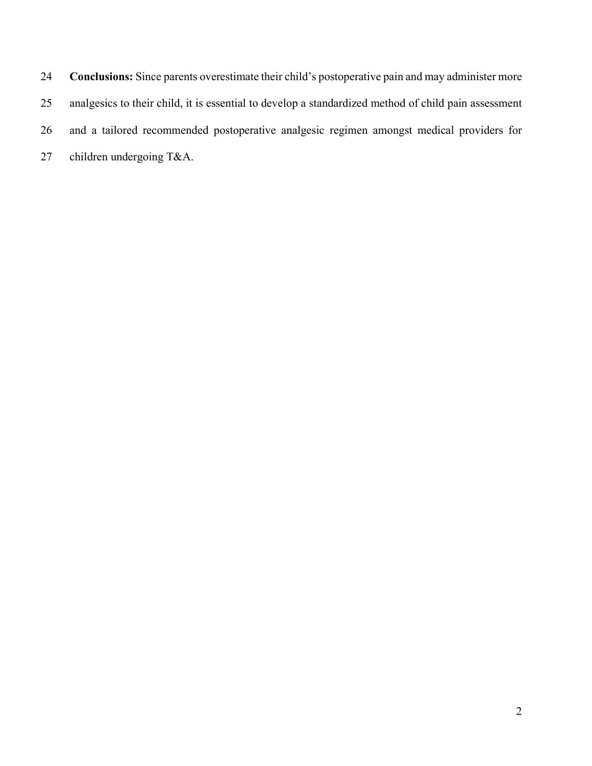**Conclusions:** Since parents overestimate their child's postoperative pain and may administer more analgesics to their child, it is essential to develop a standardized method of child pain assessment and a tailored recommended postoperative analgesic regimen amongst medical providers for children undergoing T&A.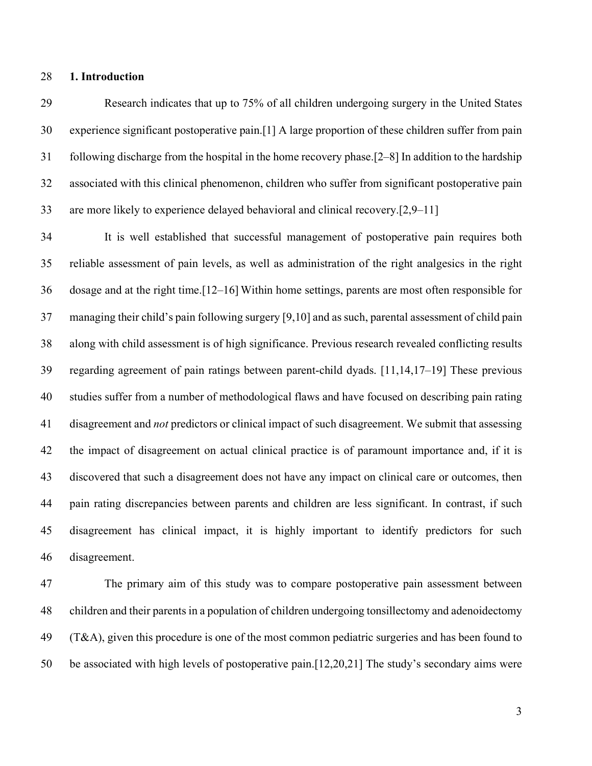## **1. Introduction**

 Research indicates that up to 75% of all children undergoing surgery in the United States experience significant postoperative pain.[1] A large proportion of these children suffer from pain following discharge from the hospital in the home recovery phase.[2–8] In addition to the hardship associated with this clinical phenomenon, children who suffer from significant postoperative pain are more likely to experience delayed behavioral and clinical recovery.[2,9–11]

 It is well established that successful management of postoperative pain requires both reliable assessment of pain levels, as well as administration of the right analgesics in the right dosage and at the right time.[12–16] Within home settings, parents are most often responsible for managing their child's pain following surgery [9,10] and as such, parental assessment of child pain along with child assessment is of high significance. Previous research revealed conflicting results regarding agreement of pain ratings between parent-child dyads. [11,14,17–19] These previous studies suffer from a number of methodological flaws and have focused on describing pain rating disagreement and *not* predictors or clinical impact of such disagreement. We submit that assessing the impact of disagreement on actual clinical practice is of paramount importance and, if it is discovered that such a disagreement does not have any impact on clinical care or outcomes, then pain rating discrepancies between parents and children are less significant. In contrast, if such disagreement has clinical impact, it is highly important to identify predictors for such disagreement.

 The primary aim of this study was to compare postoperative pain assessment between children and their parents in a population of children undergoing tonsillectomy and adenoidectomy (T&A), given this procedure is one of the most common pediatric surgeries and has been found to be associated with high levels of postoperative pain.[12,20,21] The study's secondary aims were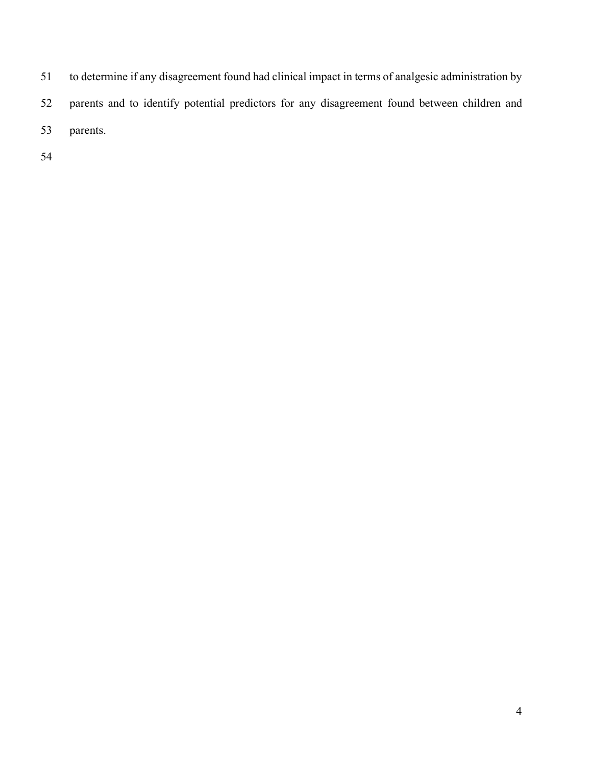to determine if any disagreement found had clinical impact in terms of analgesic administration by parents and to identify potential predictors for any disagreement found between children and parents.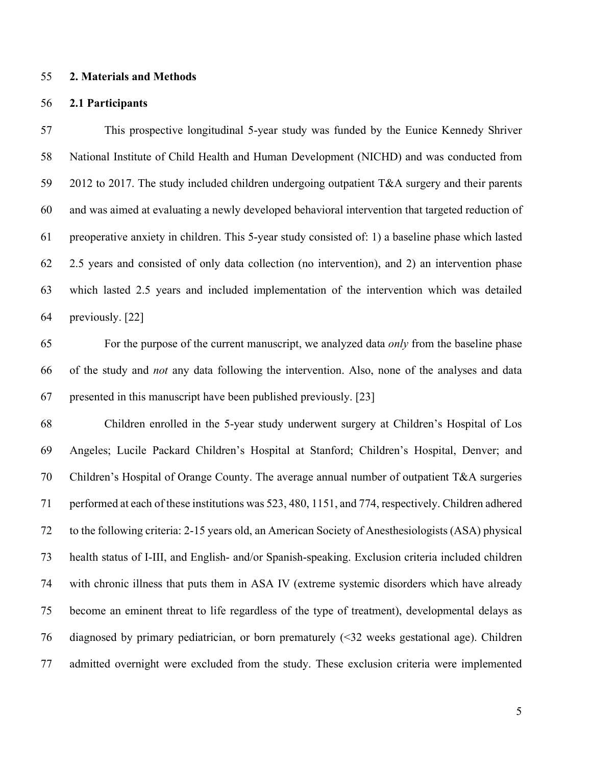#### **2. Materials and Methods**

#### **2.1 Participants**

 This prospective longitudinal 5-year study was funded by the Eunice Kennedy Shriver National Institute of Child Health and Human Development (NICHD) and was conducted from 2012 to 2017. The study included children undergoing outpatient T&A surgery and their parents and was aimed at evaluating a newly developed behavioral intervention that targeted reduction of preoperative anxiety in children. This 5-year study consisted of: 1) a baseline phase which lasted 2.5 years and consisted of only data collection (no intervention), and 2) an intervention phase which lasted 2.5 years and included implementation of the intervention which was detailed previously. [22]

 For the purpose of the current manuscript, we analyzed data *only* from the baseline phase of the study and *not* any data following the intervention. Also, none of the analyses and data presented in this manuscript have been published previously. [23]

 Children enrolled in the 5-year study underwent surgery at Children's Hospital of Los Angeles; Lucile Packard Children's Hospital at Stanford; Children's Hospital, Denver; and Children's Hospital of Orange County. The average annual number of outpatient T&A surgeries performed at each of these institutions was 523, 480, 1151, and 774, respectively. Children adhered to the following criteria: 2-15 years old, an American Society of Anesthesiologists (ASA) physical health status of I-III, and English- and/or Spanish-speaking. Exclusion criteria included children with chronic illness that puts them in ASA IV (extreme systemic disorders which have already become an eminent threat to life regardless of the type of treatment), developmental delays as diagnosed by primary pediatrician, or born prematurely (<32 weeks gestational age). Children admitted overnight were excluded from the study. These exclusion criteria were implemented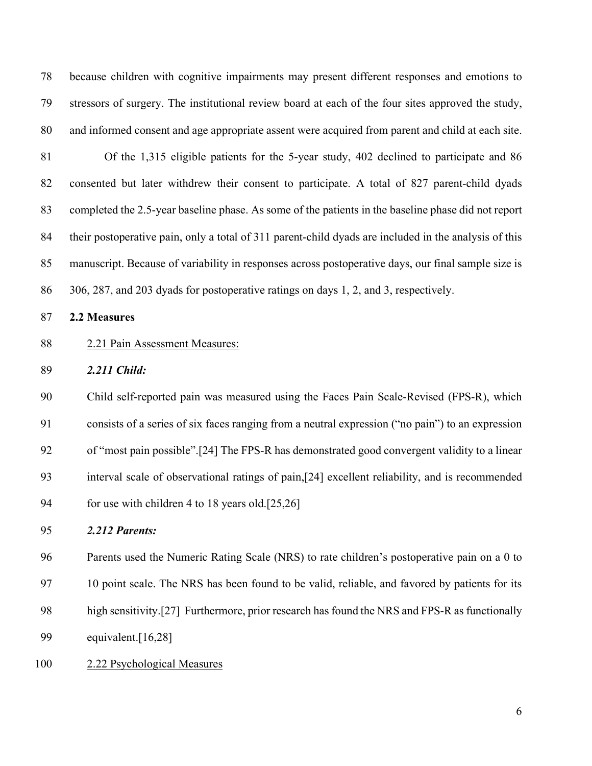because children with cognitive impairments may present different responses and emotions to stressors of surgery. The institutional review board at each of the four sites approved the study, and informed consent and age appropriate assent were acquired from parent and child at each site.

 Of the 1,315 eligible patients for the 5-year study, 402 declined to participate and 86 consented but later withdrew their consent to participate. A total of 827 parent-child dyads completed the 2.5-year baseline phase. As some of the patients in the baseline phase did not report their postoperative pain, only a total of 311 parent-child dyads are included in the analysis of this manuscript. Because of variability in responses across postoperative days, our final sample size is 306, 287, and 203 dyads for postoperative ratings on days 1, 2, and 3, respectively.

#### **2.2 Measures**

## 2.21 Pain Assessment Measures:

*2.211 Child:*

 Child self-reported pain was measured using the Faces Pain Scale-Revised (FPS-R), which consists of a series of six faces ranging from a neutral expression ("no pain") to an expression of "most pain possible".[24] The FPS-R has demonstrated good convergent validity to a linear interval scale of observational ratings of pain,[24] excellent reliability, and is recommended for use with children 4 to 18 years old.[25,26]

## *2.212 Parents:*

Parents used the Numeric Rating Scale (NRS) to rate children's postoperative pain on a 0 to

10 point scale. The NRS has been found to be valid, reliable, and favored by patients for its

- high sensitivity.[27] Furthermore, prior research has found the NRS and FPS-R as functionally
- equivalent.[16,28]
- 2.22 Psychological Measures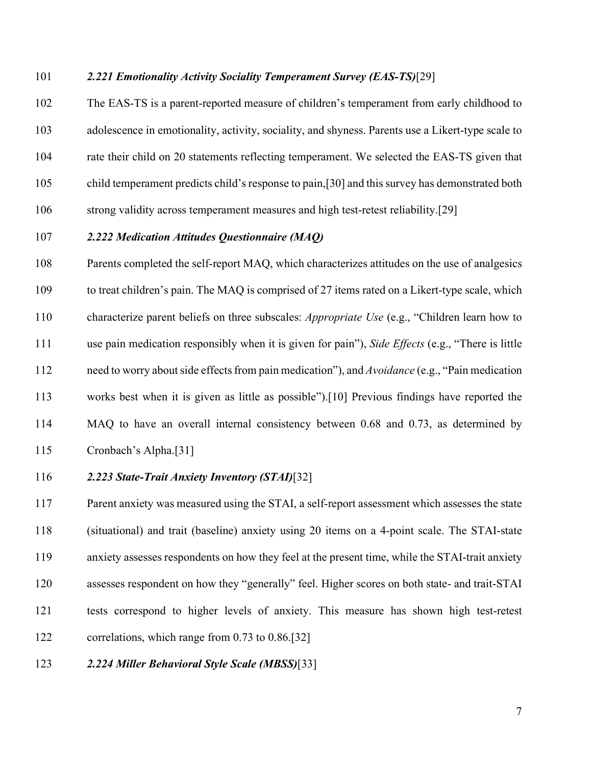## *2.221 Emotionality Activity Sociality Temperament Survey (EAS-TS)*[29]

 The EAS-TS is a parent-reported measure of children's temperament from early childhood to adolescence in emotionality, activity, sociality, and shyness. Parents use a Likert-type scale to rate their child on 20 statements reflecting temperament. We selected the EAS-TS given that child temperament predicts child's response to pain,[30] and this survey has demonstrated both strong validity across temperament measures and high test-retest reliability.[29]

# *2.222 Medication Attitudes Questionnaire (MAQ)*

 Parents completed the self-report MAQ, which characterizes attitudes on the use of analgesics to treat children's pain. The MAQ is comprised of 27 items rated on a Likert-type scale, which characterize parent beliefs on three subscales: *Appropriate Use* (e.g., "Children learn how to use pain medication responsibly when it is given for pain"), *Side Effects* (e.g., "There is little need to worry about side effects from pain medication"), and *Avoidance* (e.g., "Pain medication works best when it is given as little as possible").[10] Previous findings have reported the MAQ to have an overall internal consistency between 0.68 and 0.73, as determined by Cronbach's Alpha.[31]

## *2.223 State-Trait Anxiety Inventory (STAI)*[32]

 Parent anxiety was measured using the STAI, a self-report assessment which assesses the state (situational) and trait (baseline) anxiety using 20 items on a 4-point scale. The STAI-state anxiety assesses respondents on how they feel at the present time, while the STAI-trait anxiety assesses respondent on how they "generally" feel. Higher scores on both state- and trait-STAI tests correspond to higher levels of anxiety. This measure has shown high test-retest correlations, which range from 0.73 to 0.86.[32]

## *2.224 Miller Behavioral Style Scale (MBSS)*[33]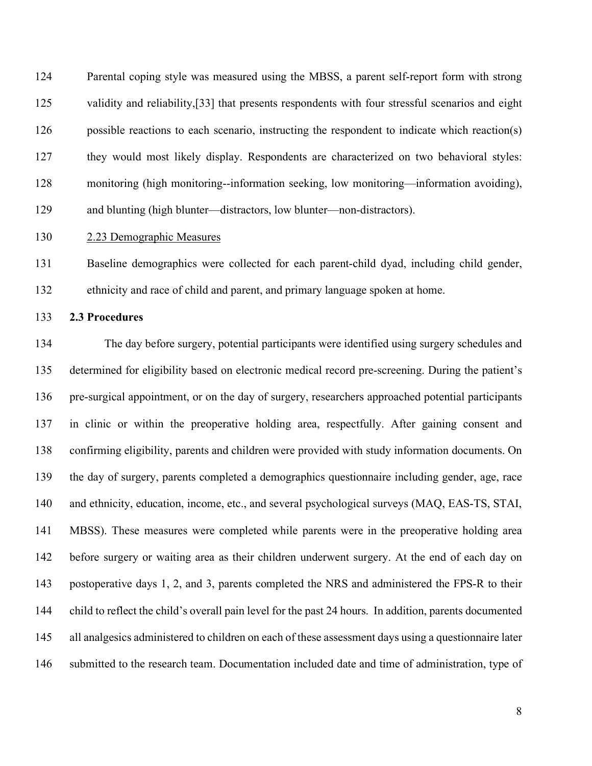Parental coping style was measured using the MBSS, a parent self-report form with strong 125 validity and reliability,<sup>[33]</sup> that presents respondents with four stressful scenarios and eight possible reactions to each scenario, instructing the respondent to indicate which reaction(s) they would most likely display. Respondents are characterized on two behavioral styles: monitoring (high monitoring--information seeking, low monitoring—information avoiding), and blunting (high blunter—distractors, low blunter—non-distractors).

# 2.23 Demographic Measures

 Baseline demographics were collected for each parent-child dyad, including child gender, ethnicity and race of child and parent, and primary language spoken at home.

**2.3 Procedures**

 The day before surgery, potential participants were identified using surgery schedules and determined for eligibility based on electronic medical record pre-screening. During the patient's pre-surgical appointment, or on the day of surgery, researchers approached potential participants in clinic or within the preoperative holding area, respectfully. After gaining consent and confirming eligibility, parents and children were provided with study information documents. On the day of surgery, parents completed a demographics questionnaire including gender, age, race and ethnicity, education, income, etc., and several psychological surveys (MAQ, EAS-TS, STAI, MBSS). These measures were completed while parents were in the preoperative holding area before surgery or waiting area as their children underwent surgery. At the end of each day on postoperative days 1, 2, and 3, parents completed the NRS and administered the FPS-R to their child to reflect the child's overall pain level for the past 24 hours. In addition, parents documented all analgesics administered to children on each of these assessment days using a questionnaire later 146 submitted to the research team. Documentation included date and time of administration, type of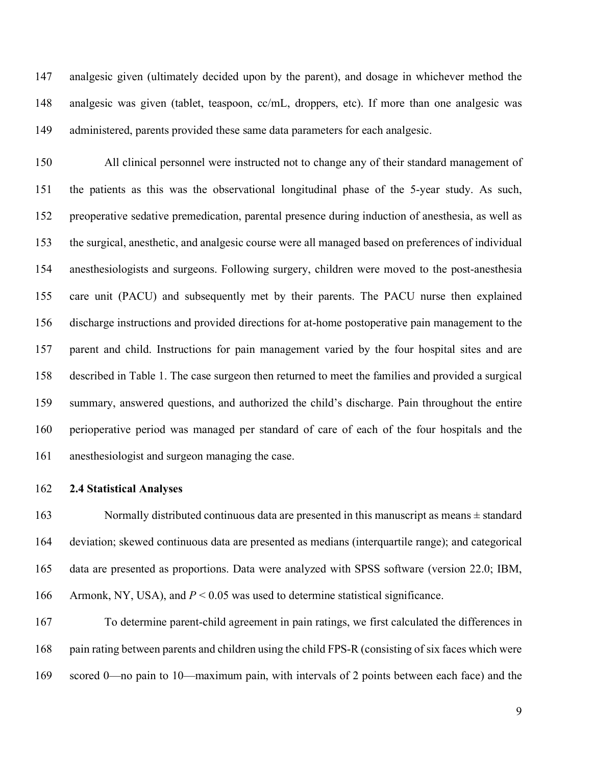analgesic given (ultimately decided upon by the parent), and dosage in whichever method the analgesic was given (tablet, teaspoon, cc/mL, droppers, etc). If more than one analgesic was administered, parents provided these same data parameters for each analgesic.

 All clinical personnel were instructed not to change any of their standard management of the patients as this was the observational longitudinal phase of the 5-year study. As such, preoperative sedative premedication, parental presence during induction of anesthesia, as well as the surgical, anesthetic, and analgesic course were all managed based on preferences of individual anesthesiologists and surgeons. Following surgery, children were moved to the post-anesthesia care unit (PACU) and subsequently met by their parents. The PACU nurse then explained discharge instructions and provided directions for at-home postoperative pain management to the parent and child. Instructions for pain management varied by the four hospital sites and are described in Table 1. The case surgeon then returned to meet the families and provided a surgical summary, answered questions, and authorized the child's discharge. Pain throughout the entire perioperative period was managed per standard of care of each of the four hospitals and the anesthesiologist and surgeon managing the case.

**2.4 Statistical Analyses**

163 Normally distributed continuous data are presented in this manuscript as means  $\pm$  standard deviation; skewed continuous data are presented as medians (interquartile range); and categorical data are presented as proportions. Data were analyzed with SPSS software (version 22.0; IBM, Armonk, NY, USA), and *P* < 0.05 was used to determine statistical significance.

 To determine parent-child agreement in pain ratings, we first calculated the differences in 168 pain rating between parents and children using the child FPS-R (consisting of six faces which were scored 0—no pain to 10—maximum pain, with intervals of 2 points between each face) and the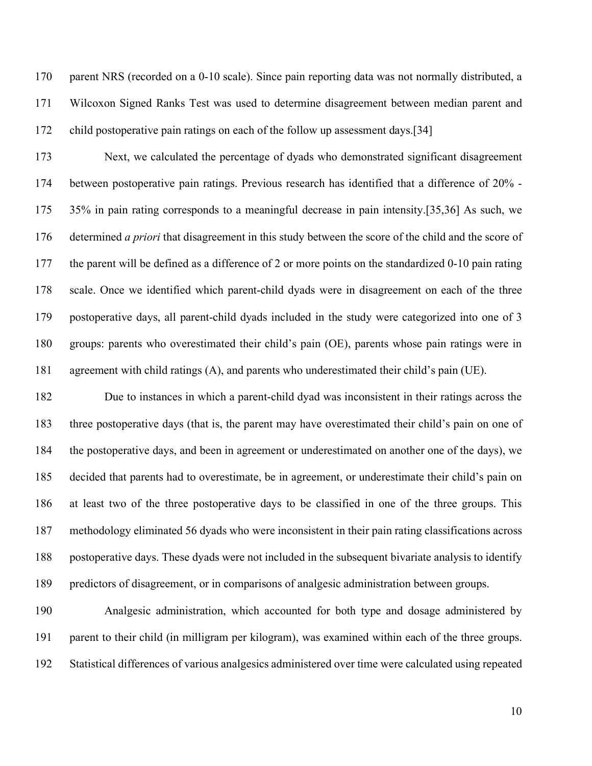170 parent NRS (recorded on a 0-10 scale). Since pain reporting data was not normally distributed, a Wilcoxon Signed Ranks Test was used to determine disagreement between median parent and child postoperative pain ratings on each of the follow up assessment days.[34]

 Next, we calculated the percentage of dyads who demonstrated significant disagreement between postoperative pain ratings. Previous research has identified that a difference of 20% - 35% in pain rating corresponds to a meaningful decrease in pain intensity.[35,36] As such, we determined *a priori* that disagreement in this study between the score of the child and the score of the parent will be defined as a difference of 2 or more points on the standardized 0-10 pain rating scale. Once we identified which parent-child dyads were in disagreement on each of the three postoperative days, all parent-child dyads included in the study were categorized into one of 3 groups: parents who overestimated their child's pain (OE), parents whose pain ratings were in agreement with child ratings (A), and parents who underestimated their child's pain (UE).

 Due to instances in which a parent-child dyad was inconsistent in their ratings across the three postoperative days (that is, the parent may have overestimated their child's pain on one of the postoperative days, and been in agreement or underestimated on another one of the days), we decided that parents had to overestimate, be in agreement, or underestimate their child's pain on at least two of the three postoperative days to be classified in one of the three groups. This methodology eliminated 56 dyads who were inconsistent in their pain rating classifications across postoperative days. These dyads were not included in the subsequent bivariate analysis to identify predictors of disagreement, or in comparisons of analgesic administration between groups.

 Analgesic administration, which accounted for both type and dosage administered by parent to their child (in milligram per kilogram), was examined within each of the three groups. Statistical differences of various analgesics administered over time were calculated using repeated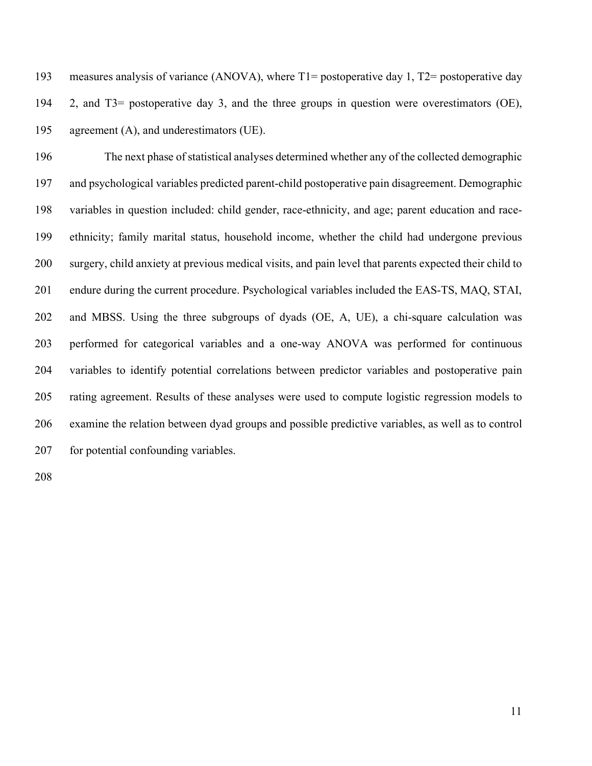| 193 | measures analysis of variance (ANOVA), where $T1 =$ postoperative day 1, $T2 =$ postoperative day |
|-----|---------------------------------------------------------------------------------------------------|
| 194 | 2, and T3= postoperative day 3, and the three groups in question were overestimators (OE),        |
| 195 | agreement $(A)$ , and underestimators (UE).                                                       |

 The next phase of statistical analyses determined whether any of the collected demographic and psychological variables predicted parent-child postoperative pain disagreement. Demographic variables in question included: child gender, race-ethnicity, and age; parent education and race- ethnicity; family marital status, household income, whether the child had undergone previous surgery, child anxiety at previous medical visits, and pain level that parents expected their child to endure during the current procedure. Psychological variables included the EAS-TS, MAQ, STAI, and MBSS. Using the three subgroups of dyads (OE, A, UE), a chi-square calculation was performed for categorical variables and a one-way ANOVA was performed for continuous variables to identify potential correlations between predictor variables and postoperative pain rating agreement. Results of these analyses were used to compute logistic regression models to examine the relation between dyad groups and possible predictive variables, as well as to control 207 for potential confounding variables.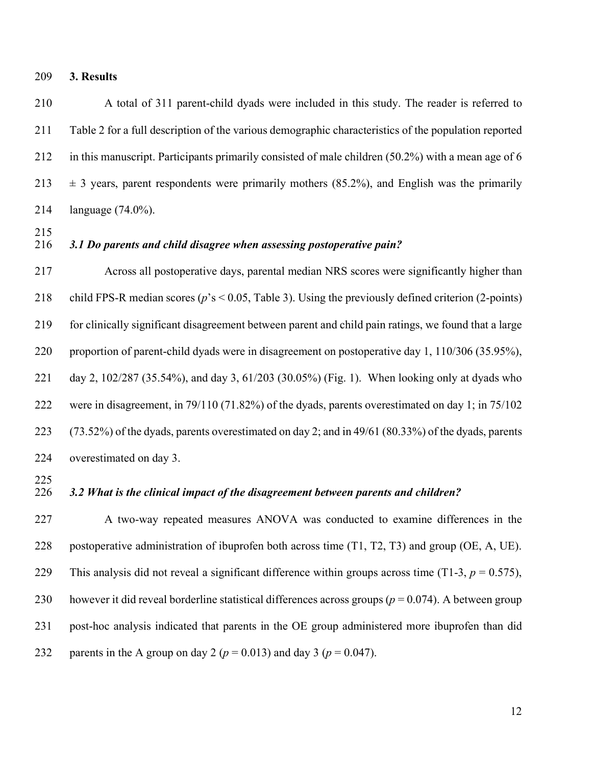**3. Results**

 A total of 311 parent-child dyads were included in this study. The reader is referred to Table 2 for a full description of the various demographic characteristics of the population reported in this manuscript. Participants primarily consisted of male children (50.2%) with a mean age of 6  $\pm$  3 years, parent respondents were primarily mothers (85.2%), and English was the primarily language (74.0%).

## *3.1 Do parents and child disagree when assessing postoperative pain?*

 Across all postoperative days, parental median NRS scores were significantly higher than child FPS-R median scores (*p*'s < 0.05, Table 3). Using the previously defined criterion (2-points) for clinically significant disagreement between parent and child pain ratings, we found that a large proportion of parent-child dyads were in disagreement on postoperative day 1, 110/306 (35.95%), day 2, 102/287 (35.54%), and day 3, 61/203 (30.05%) (Fig. 1). When looking only at dyads who were in disagreement, in 79/110 (71.82%) of the dyads, parents overestimated on day 1; in 75/102 (73.52%) of the dyads, parents overestimated on day 2; and in 49/61 (80.33%) of the dyads, parents overestimated on day 3.

## *3.2 What is the clinical impact of the disagreement between parents and children?*

 A two-way repeated measures ANOVA was conducted to examine differences in the postoperative administration of ibuprofen both across time (T1, T2, T3) and group (OE, A, UE). 229 This analysis did not reveal a significant difference within groups across time (T1-3,  $p = 0.575$ ), however it did reveal borderline statistical differences across groups (*p* = 0.074). A between group post-hoc analysis indicated that parents in the OE group administered more ibuprofen than did 232 parents in the A group on day 2 ( $p = 0.013$ ) and day 3 ( $p = 0.047$ ).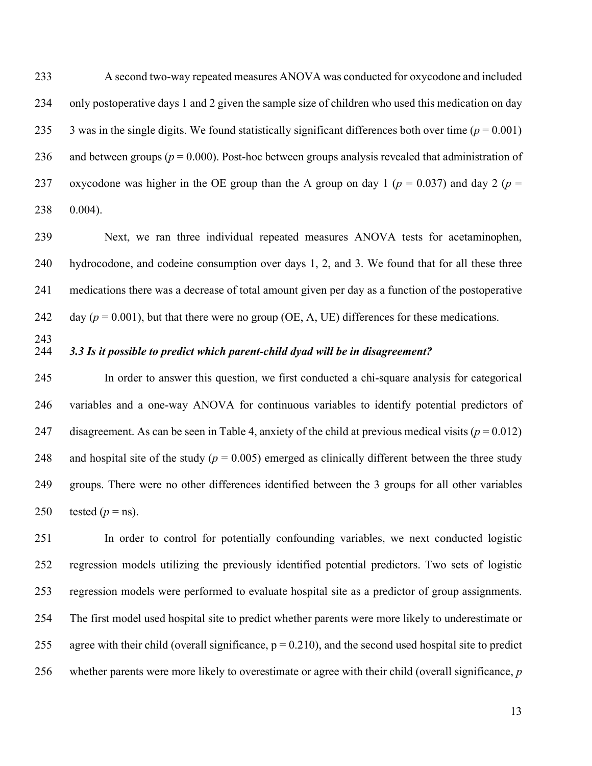A second two-way repeated measures ANOVA was conducted for oxycodone and included only postoperative days 1 and 2 given the sample size of children who used this medication on day 235 3 was in the single digits. We found statistically significant differences both over time ( $p = 0.001$ ) 236 and between groups ( $p = 0.000$ ). Post-hoc between groups analysis revealed that administration of 237 oxycodone was higher in the OE group than the A group on day 1 ( $p = 0.037$ ) and day 2 ( $p =$ 0.004).

 Next, we ran three individual repeated measures ANOVA tests for acetaminophen, hydrocodone, and codeine consumption over days 1, 2, and 3. We found that for all these three medications there was a decrease of total amount given per day as a function of the postoperative 242 day  $(p = 0.001)$ , but that there were no group (OE, A, UE) differences for these medications.

# *3.3 Is it possible to predict which parent-child dyad will be in disagreement?*

 In order to answer this question, we first conducted a chi-square analysis for categorical variables and a one-way ANOVA for continuous variables to identify potential predictors of 247 disagreement. As can be seen in Table 4, anxiety of the child at previous medical visits ( $p = 0.012$ ) 248 and hospital site of the study ( $p = 0.005$ ) emerged as clinically different between the three study groups. There were no other differences identified between the 3 groups for all other variables 250 tested  $(p = ns)$ .

 In order to control for potentially confounding variables, we next conducted logistic regression models utilizing the previously identified potential predictors. Two sets of logistic regression models were performed to evaluate hospital site as a predictor of group assignments. The first model used hospital site to predict whether parents were more likely to underestimate or 255 agree with their child (overall significance,  $p = 0.210$ ), and the second used hospital site to predict whether parents were more likely to overestimate or agree with their child (overall significance, *p*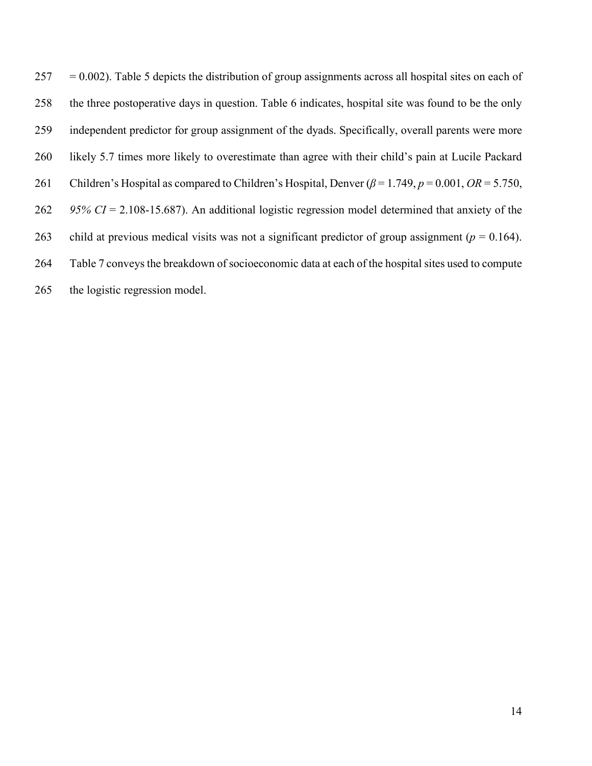$257 = 0.002$ ). Table 5 depicts the distribution of group assignments across all hospital sites on each of the three postoperative days in question. Table 6 indicates, hospital site was found to be the only independent predictor for group assignment of the dyads. Specifically, overall parents were more likely 5.7 times more likely to overestimate than agree with their child's pain at Lucile Packard Children's Hospital as compared to Children's Hospital, Denver (*β* = 1.749, *p* = 0.001, *OR* = 5.750, *95% CI* = 2.108-15.687). An additional logistic regression model determined that anxiety of the 263 child at previous medical visits was not a significant predictor of group assignment ( $p = 0.164$ ). Table 7 conveys the breakdown of socioeconomic data at each of the hospital sites used to compute the logistic regression model.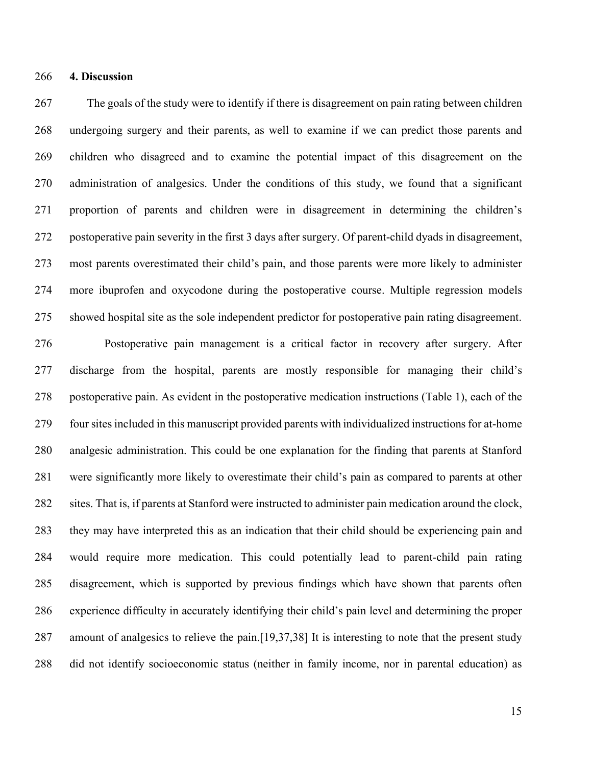### **4. Discussion**

 The goals of the study were to identify if there is disagreement on pain rating between children undergoing surgery and their parents, as well to examine if we can predict those parents and children who disagreed and to examine the potential impact of this disagreement on the administration of analgesics. Under the conditions of this study, we found that a significant proportion of parents and children were in disagreement in determining the children's postoperative pain severity in the first 3 days after surgery. Of parent-child dyads in disagreement, most parents overestimated their child's pain, and those parents were more likely to administer more ibuprofen and oxycodone during the postoperative course. Multiple regression models showed hospital site as the sole independent predictor for postoperative pain rating disagreement.

 Postoperative pain management is a critical factor in recovery after surgery. After discharge from the hospital, parents are mostly responsible for managing their child's postoperative pain. As evident in the postoperative medication instructions (Table 1), each of the four sites included in this manuscript provided parents with individualized instructions for at-home analgesic administration. This could be one explanation for the finding that parents at Stanford were significantly more likely to overestimate their child's pain as compared to parents at other sites. That is, if parents at Stanford were instructed to administer pain medication around the clock, they may have interpreted this as an indication that their child should be experiencing pain and would require more medication. This could potentially lead to parent-child pain rating disagreement, which is supported by previous findings which have shown that parents often experience difficulty in accurately identifying their child's pain level and determining the proper amount of analgesics to relieve the pain.[19,37,38] It is interesting to note that the present study did not identify socioeconomic status (neither in family income, nor in parental education) as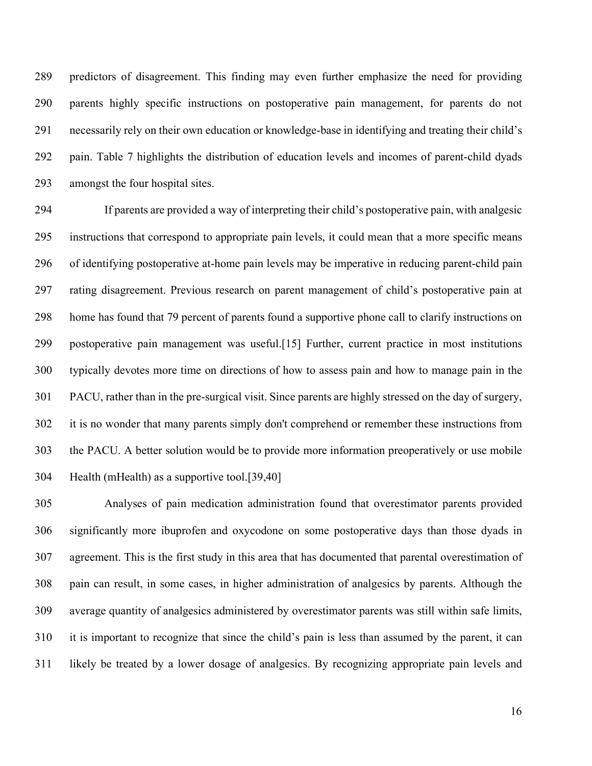predictors of disagreement. This finding may even further emphasize the need for providing parents highly specific instructions on postoperative pain management, for parents do not necessarily rely on their own education or knowledge-base in identifying and treating their child's pain. Table 7 highlights the distribution of education levels and incomes of parent-child dyads amongst the four hospital sites.

 If parents are provided a way of interpreting their child's postoperative pain, with analgesic instructions that correspond to appropriate pain levels, it could mean that a more specific means of identifying postoperative at-home pain levels may be imperative in reducing parent-child pain rating disagreement. Previous research on parent management of child's postoperative pain at home has found that 79 percent of parents found a supportive phone call to clarify instructions on postoperative pain management was useful.[15] Further, current practice in most institutions typically devotes more time on directions of how to assess pain and how to manage pain in the PACU, rather than in the pre-surgical visit. Since parents are highly stressed on the day of surgery, it is no wonder that many parents simply don't comprehend or remember these instructions from the PACU. A better solution would be to provide more information preoperatively or use mobile Health (mHealth) as a supportive tool.[39,40]

 Analyses of pain medication administration found that overestimator parents provided significantly more ibuprofen and oxycodone on some postoperative days than those dyads in agreement. This is the first study in this area that has documented that parental overestimation of pain can result, in some cases, in higher administration of analgesics by parents. Although the average quantity of analgesics administered by overestimator parents was still within safe limits, it is important to recognize that since the child's pain is less than assumed by the parent, it can likely be treated by a lower dosage of analgesics. By recognizing appropriate pain levels and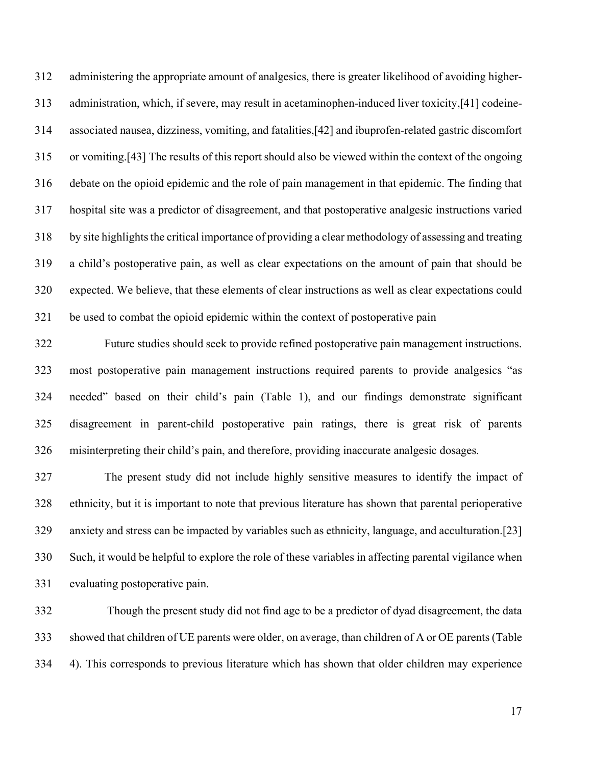administering the appropriate amount of analgesics, there is greater likelihood of avoiding higher- administration, which, if severe, may result in acetaminophen-induced liver toxicity,[41] codeine- associated nausea, dizziness, vomiting, and fatalities,[42] and ibuprofen-related gastric discomfort or vomiting.[43] The results of this report should also be viewed within the context of the ongoing debate on the opioid epidemic and the role of pain management in that epidemic. The finding that hospital site was a predictor of disagreement, and that postoperative analgesic instructions varied by site highlights the critical importance of providing a clear methodology of assessing and treating a child's postoperative pain, as well as clear expectations on the amount of pain that should be expected. We believe, that these elements of clear instructions as well as clear expectations could be used to combat the opioid epidemic within the context of postoperative pain

 Future studies should seek to provide refined postoperative pain management instructions. most postoperative pain management instructions required parents to provide analgesics "as needed" based on their child's pain (Table 1), and our findings demonstrate significant disagreement in parent-child postoperative pain ratings, there is great risk of parents misinterpreting their child's pain, and therefore, providing inaccurate analgesic dosages.

 The present study did not include highly sensitive measures to identify the impact of ethnicity, but it is important to note that previous literature has shown that parental perioperative anxiety and stress can be impacted by variables such as ethnicity, language, and acculturation.[23] Such, it would be helpful to explore the role of these variables in affecting parental vigilance when evaluating postoperative pain.

 Though the present study did not find age to be a predictor of dyad disagreement, the data showed that children of UE parents were older, on average, than children of A or OE parents (Table 4). This corresponds to previous literature which has shown that older children may experience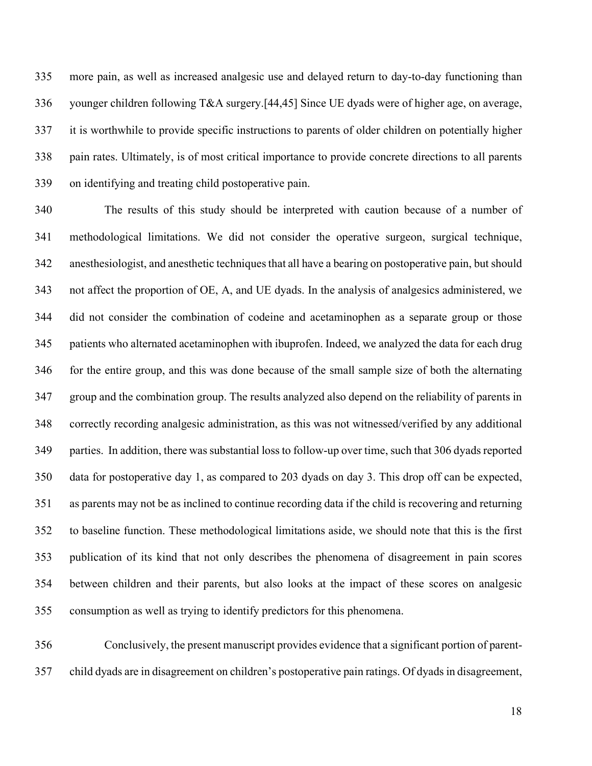more pain, as well as increased analgesic use and delayed return to day-to-day functioning than younger children following T&A surgery.[44,45] Since UE dyads were of higher age, on average, it is worthwhile to provide specific instructions to parents of older children on potentially higher pain rates. Ultimately, is of most critical importance to provide concrete directions to all parents on identifying and treating child postoperative pain.

 The results of this study should be interpreted with caution because of a number of methodological limitations. We did not consider the operative surgeon, surgical technique, anesthesiologist, and anesthetic techniques that all have a bearing on postoperative pain, but should not affect the proportion of OE, A, and UE dyads. In the analysis of analgesics administered, we did not consider the combination of codeine and acetaminophen as a separate group or those patients who alternated acetaminophen with ibuprofen. Indeed, we analyzed the data for each drug for the entire group, and this was done because of the small sample size of both the alternating group and the combination group. The results analyzed also depend on the reliability of parents in correctly recording analgesic administration, as this was not witnessed/verified by any additional parties. In addition, there was substantial loss to follow-up over time, such that 306 dyads reported data for postoperative day 1, as compared to 203 dyads on day 3. This drop off can be expected, as parents may not be as inclined to continue recording data if the child is recovering and returning to baseline function. These methodological limitations aside, we should note that this is the first publication of its kind that not only describes the phenomena of disagreement in pain scores between children and their parents, but also looks at the impact of these scores on analgesic consumption as well as trying to identify predictors for this phenomena.

 Conclusively, the present manuscript provides evidence that a significant portion of parent-child dyads are in disagreement on children's postoperative pain ratings. Of dyads in disagreement,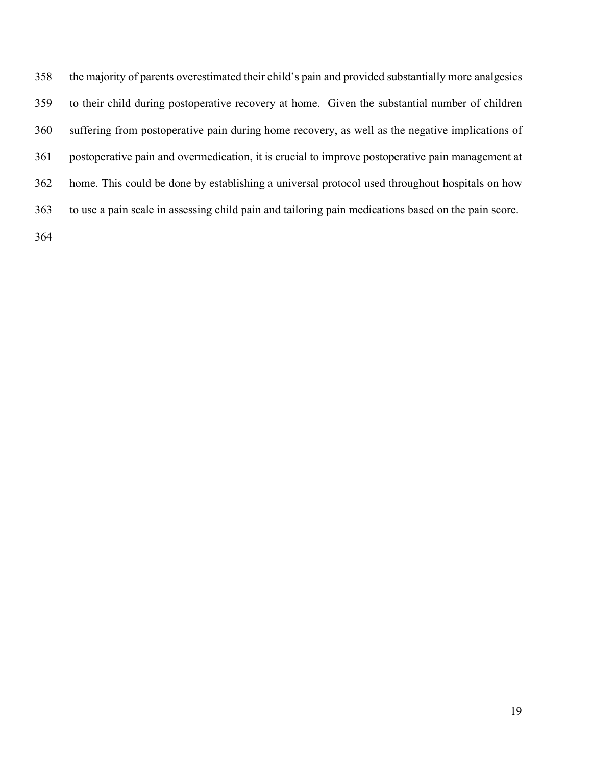the majority of parents overestimated their child's pain and provided substantially more analgesics to their child during postoperative recovery at home. Given the substantial number of children suffering from postoperative pain during home recovery, as well as the negative implications of postoperative pain and overmedication, it is crucial to improve postoperative pain management at home. This could be done by establishing a universal protocol used throughout hospitals on how to use a pain scale in assessing child pain and tailoring pain medications based on the pain score.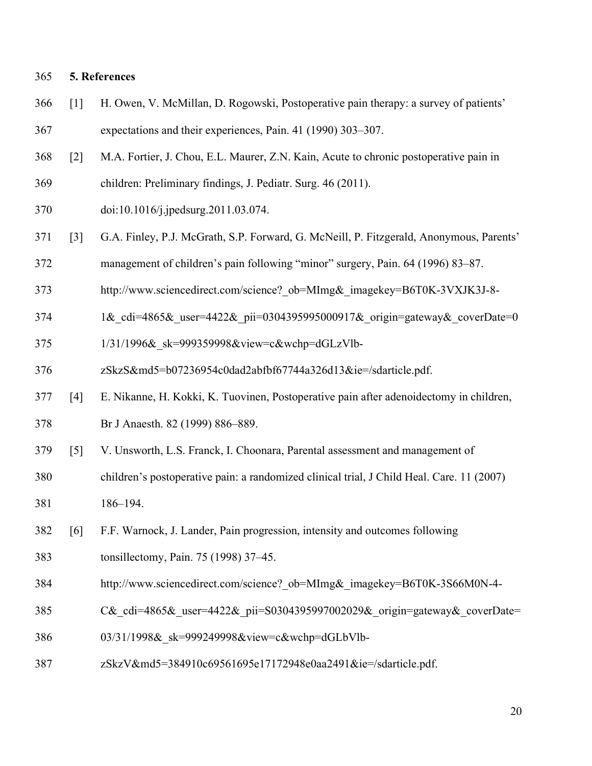## **5. References**

- [1] H. Owen, V. McMillan, D. Rogowski, Postoperative pain therapy: a survey of patients' expectations and their experiences, Pain. 41 (1990) 303–307.
- [2] M.A. Fortier, J. Chou, E.L. Maurer, Z.N. Kain, Acute to chronic postoperative pain in
- children: Preliminary findings, J. Pediatr. Surg. 46 (2011).
- doi:10.1016/j.jpedsurg.2011.03.074.
- [3] G.A. Finley, P.J. McGrath, S.P. Forward, G. McNeill, P. Fitzgerald, Anonymous, Parents'
- management of children's pain following "minor" surgery, Pain. 64 (1996) 83–87.
- http://www.sciencedirect.com/science?\_ob=MImg&\_imagekey=B6T0K-3VXJK3J-8-
- 374 1& cdi=4865& user=4422& pii=0304395995000917& origin=gateway& coverDate=0
- 1/31/1996&\_sk=999359998&view=c&wchp=dGLzVlb-
- zSkzS&md5=b07236954c0dad2abfbf67744a326d13&ie=/sdarticle.pdf.
- [4] E. Nikanne, H. Kokki, K. Tuovinen, Postoperative pain after adenoidectomy in children, Br J Anaesth. 82 (1999) 886–889.
- [5] V. Unsworth, L.S. Franck, I. Choonara, Parental assessment and management of
- children's postoperative pain: a randomized clinical trial, J Child Heal. Care. 11 (2007) 186–194.
- [6] F.F. Warnock, J. Lander, Pain progression, intensity and outcomes following
- tonsillectomy, Pain. 75 (1998) 37–45.
- http://www.sciencedirect.com/science?\_ob=MImg&\_imagekey=B6T0K-3S66M0N-4-
- 385 C& cdi=4865& user=4422& pii=S0304395997002029& origin=gateway& coverDate=
- 03/31/1998&\_sk=999249998&view=c&wchp=dGLbVlb-
- zSkzV&md5=384910c69561695e17172948e0aa2491&ie=/sdarticle.pdf.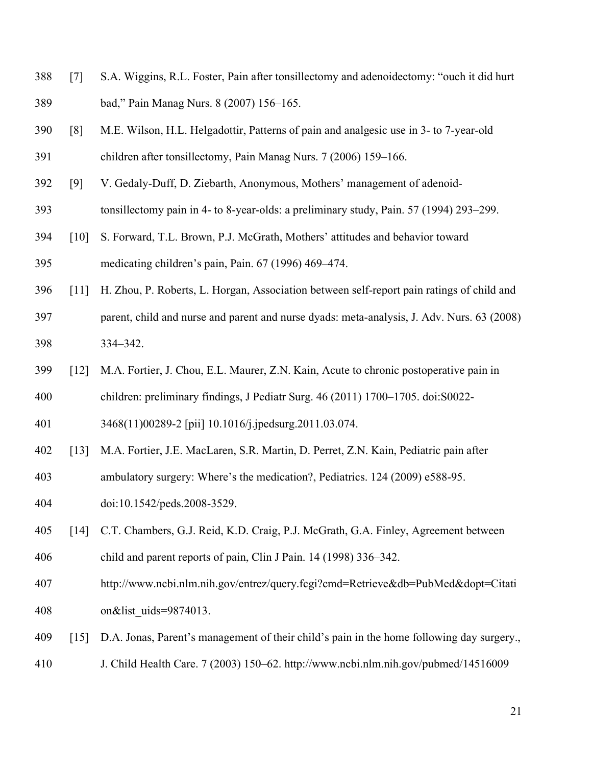- [7] S.A. Wiggins, R.L. Foster, Pain after tonsillectomy and adenoidectomy: "ouch it did hurt bad," Pain Manag Nurs. 8 (2007) 156–165.
- [8] M.E. Wilson, H.L. Helgadottir, Patterns of pain and analgesic use in 3- to 7-year-old children after tonsillectomy, Pain Manag Nurs. 7 (2006) 159–166.
- [9] V. Gedaly-Duff, D. Ziebarth, Anonymous, Mothers' management of adenoid-
- tonsillectomy pain in 4- to 8-year-olds: a preliminary study, Pain. 57 (1994) 293–299.
- [10] S. Forward, T.L. Brown, P.J. McGrath, Mothers' attitudes and behavior toward medicating children's pain, Pain. 67 (1996) 469–474.
- [11] H. Zhou, P. Roberts, L. Horgan, Association between self-report pain ratings of child and
- parent, child and nurse and parent and nurse dyads: meta-analysis, J. Adv. Nurs. 63 (2008) 334–342.
- [12] M.A. Fortier, J. Chou, E.L. Maurer, Z.N. Kain, Acute to chronic postoperative pain in
- children: preliminary findings, J Pediatr Surg. 46 (2011) 1700–1705. doi:S0022-

3468(11)00289-2 [pii] 10.1016/j.jpedsurg.2011.03.074.

- [13] M.A. Fortier, J.E. MacLaren, S.R. Martin, D. Perret, Z.N. Kain, Pediatric pain after
- ambulatory surgery: Where's the medication?, Pediatrics. 124 (2009) e588-95.
- doi:10.1542/peds.2008-3529.
- [14] C.T. Chambers, G.J. Reid, K.D. Craig, P.J. McGrath, G.A. Finley, Agreement between child and parent reports of pain, Clin J Pain. 14 (1998) 336–342.
- http://www.ncbi.nlm.nih.gov/entrez/query.fcgi?cmd=Retrieve&db=PubMed&dopt=Citati 408 on&list uids=9874013.
- [15] D.A. Jonas, Parent's management of their child's pain in the home following day surgery.,
- J. Child Health Care. 7 (2003) 150–62. http://www.ncbi.nlm.nih.gov/pubmed/14516009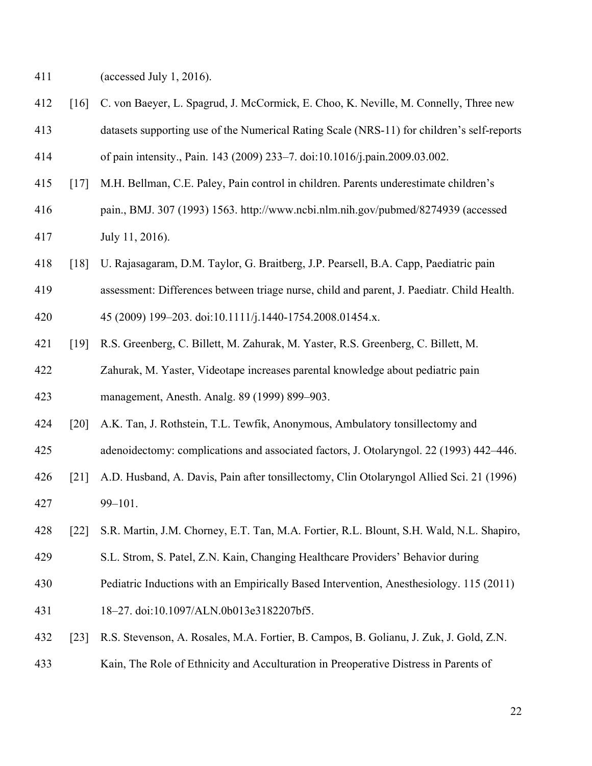(accessed July 1, 2016).

- [16] C. von Baeyer, L. Spagrud, J. McCormick, E. Choo, K. Neville, M. Connelly, Three new
- datasets supporting use of the Numerical Rating Scale (NRS-11) for children's self-reports
- of pain intensity., Pain. 143 (2009) 233–7. doi:10.1016/j.pain.2009.03.002.
- [17] M.H. Bellman, C.E. Paley, Pain control in children. Parents underestimate children's
- pain., BMJ. 307 (1993) 1563. http://www.ncbi.nlm.nih.gov/pubmed/8274939 (accessed July 11, 2016).
- [18] U. Rajasagaram, D.M. Taylor, G. Braitberg, J.P. Pearsell, B.A. Capp, Paediatric pain
- assessment: Differences between triage nurse, child and parent, J. Paediatr. Child Health.
- 45 (2009) 199–203. doi:10.1111/j.1440-1754.2008.01454.x.
- [19] R.S. Greenberg, C. Billett, M. Zahurak, M. Yaster, R.S. Greenberg, C. Billett, M. Zahurak, M. Yaster, Videotape increases parental knowledge about pediatric pain
- management, Anesth. Analg. 89 (1999) 899–903.
- [20] A.K. Tan, J. Rothstein, T.L. Tewfik, Anonymous, Ambulatory tonsillectomy and
- adenoidectomy: complications and associated factors, J. Otolaryngol. 22 (1993) 442–446.
- [21] A.D. Husband, A. Davis, Pain after tonsillectomy, Clin Otolaryngol Allied Sci. 21 (1996) 99–101.
- [22] S.R. Martin, J.M. Chorney, E.T. Tan, M.A. Fortier, R.L. Blount, S.H. Wald, N.L. Shapiro,
- S.L. Strom, S. Patel, Z.N. Kain, Changing Healthcare Providers' Behavior during
- Pediatric Inductions with an Empirically Based Intervention, Anesthesiology. 115 (2011)
- 18–27. doi:10.1097/ALN.0b013e3182207bf5.
- [23] R.S. Stevenson, A. Rosales, M.A. Fortier, B. Campos, B. Golianu, J. Zuk, J. Gold, Z.N.
- Kain, The Role of Ethnicity and Acculturation in Preoperative Distress in Parents of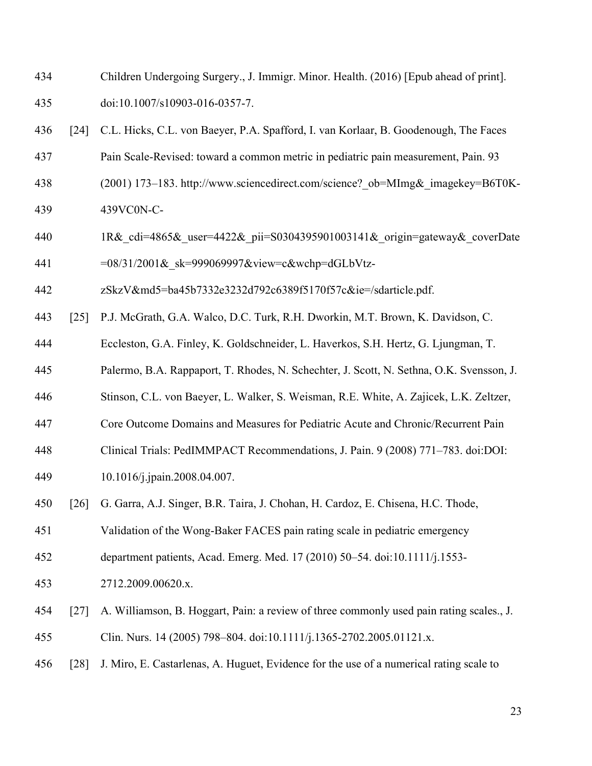- Children Undergoing Surgery., J. Immigr. Minor. Health. (2016) [Epub ahead of print]. doi:10.1007/s10903-016-0357-7.
- [24] C.L. Hicks, C.L. von Baeyer, P.A. Spafford, I. van Korlaar, B. Goodenough, The Faces
- Pain Scale-Revised: toward a common metric in pediatric pain measurement, Pain. 93
- (2001) 173–183. http://www.sciencedirect.com/science?\_ob=MImg&\_imagekey=B6T0K-
- 439VC0N-C-
- 440 1R& cdi=4865& user=4422& pii=S0304395901003141& origin=gateway& coverDate 441 = 08/31/2001& sk=999069997&view=c&wchp=dGLbVtz-
- 
- 

zSkzV&md5=ba45b7332e3232d792c6389f5170f57c&ie=/sdarticle.pdf.

- [25] P.J. McGrath, G.A. Walco, D.C. Turk, R.H. Dworkin, M.T. Brown, K. Davidson, C.
- Eccleston, G.A. Finley, K. Goldschneider, L. Haverkos, S.H. Hertz, G. Ljungman, T.
- Palermo, B.A. Rappaport, T. Rhodes, N. Schechter, J. Scott, N. Sethna, O.K. Svensson, J.
- Stinson, C.L. von Baeyer, L. Walker, S. Weisman, R.E. White, A. Zajicek, L.K. Zeltzer,
- Core Outcome Domains and Measures for Pediatric Acute and Chronic/Recurrent Pain
- Clinical Trials: PedIMMPACT Recommendations, J. Pain. 9 (2008) 771–783. doi:DOI:
- 10.1016/j.jpain.2008.04.007.
- [26] G. Garra, A.J. Singer, B.R. Taira, J. Chohan, H. Cardoz, E. Chisena, H.C. Thode,
- Validation of the Wong-Baker FACES pain rating scale in pediatric emergency
- department patients, Acad. Emerg. Med. 17 (2010) 50–54. doi:10.1111/j.1553-
- 2712.2009.00620.x.
- [27] A. Williamson, B. Hoggart, Pain: a review of three commonly used pain rating scales., J. Clin. Nurs. 14 (2005) 798–804. doi:10.1111/j.1365-2702.2005.01121.x.
- [28] J. Miro, E. Castarlenas, A. Huguet, Evidence for the use of a numerical rating scale to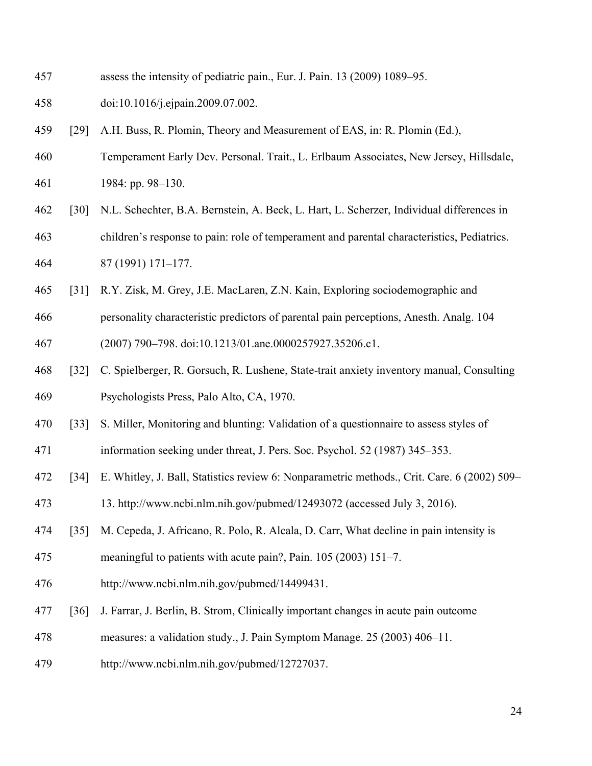- assess the intensity of pediatric pain., Eur. J. Pain. 13 (2009) 1089–95.
- doi:10.1016/j.ejpain.2009.07.002.
- [29] A.H. Buss, R. Plomin, Theory and Measurement of EAS, in: R. Plomin (Ed.),
- Temperament Early Dev. Personal. Trait., L. Erlbaum Associates, New Jersey, Hillsdale, 1984: pp. 98–130.
- 
- [30] N.L. Schechter, B.A. Bernstein, A. Beck, L. Hart, L. Scherzer, Individual differences in
- children's response to pain: role of temperament and parental characteristics, Pediatrics. 87 (1991) 171–177.
- [31] R.Y. Zisk, M. Grey, J.E. MacLaren, Z.N. Kain, Exploring sociodemographic and
- personality characteristic predictors of parental pain perceptions, Anesth. Analg. 104
- (2007) 790–798. doi:10.1213/01.ane.0000257927.35206.c1.
- [32] C. Spielberger, R. Gorsuch, R. Lushene, State-trait anxiety inventory manual, Consulting Psychologists Press, Palo Alto, CA, 1970.
- [33] S. Miller, Monitoring and blunting: Validation of a questionnaire to assess styles of
- information seeking under threat, J. Pers. Soc. Psychol. 52 (1987) 345–353.
- [34] E. Whitley, J. Ball, Statistics review 6: Nonparametric methods., Crit. Care. 6 (2002) 509–
- 13. http://www.ncbi.nlm.nih.gov/pubmed/12493072 (accessed July 3, 2016).
- [35] M. Cepeda, J. Africano, R. Polo, R. Alcala, D. Carr, What decline in pain intensity is
- meaningful to patients with acute pain?, Pain. 105 (2003) 151–7.
- http://www.ncbi.nlm.nih.gov/pubmed/14499431.
- [36] J. Farrar, J. Berlin, B. Strom, Clinically important changes in acute pain outcome
- measures: a validation study., J. Pain Symptom Manage. 25 (2003) 406–11.
- http://www.ncbi.nlm.nih.gov/pubmed/12727037.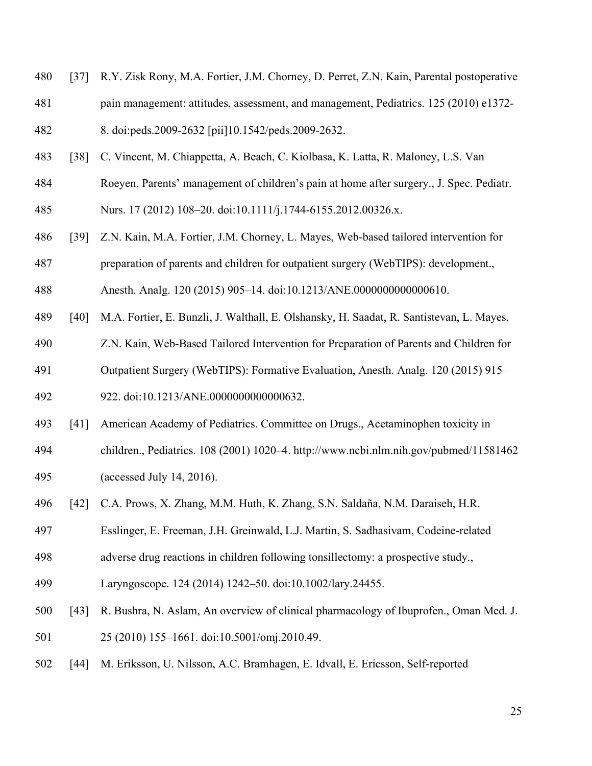- [37] R.Y. Zisk Rony, M.A. Fortier, J.M. Chorney, D. Perret, Z.N. Kain, Parental postoperative
- pain management: attitudes, assessment, and management, Pediatrics. 125 (2010) e1372-
- 8. doi:peds.2009-2632 [pii]10.1542/peds.2009-2632.
- [38] C. Vincent, M. Chiappetta, A. Beach, C. Kiolbasa, K. Latta, R. Maloney, L.S. Van
- Roeyen, Parents' management of children's pain at home after surgery., J. Spec. Pediatr.
- Nurs. 17 (2012) 108–20. doi:10.1111/j.1744-6155.2012.00326.x.
- [39] Z.N. Kain, M.A. Fortier, J.M. Chorney, L. Mayes, Web-based tailored intervention for
- preparation of parents and children for outpatient surgery (WebTIPS): development.,

Anesth. Analg. 120 (2015) 905–14. doi:10.1213/ANE.0000000000000610.

- [40] M.A. Fortier, E. Bunzli, J. Walthall, E. Olshansky, H. Saadat, R. Santistevan, L. Mayes,
- Z.N. Kain, Web-Based Tailored Intervention for Preparation of Parents and Children for Outpatient Surgery (WebTIPS): Formative Evaluation, Anesth. Analg. 120 (2015) 915–
- 922. doi:10.1213/ANE.0000000000000632.
- [41] American Academy of Pediatrics. Committee on Drugs., Acetaminophen toxicity in
- children., Pediatrics. 108 (2001) 1020–4. http://www.ncbi.nlm.nih.gov/pubmed/11581462 (accessed July 14, 2016).
- [42] C.A. Prows, X. Zhang, M.M. Huth, K. Zhang, S.N. Saldaña, N.M. Daraiseh, H.R.
- Esslinger, E. Freeman, J.H. Greinwald, L.J. Martin, S. Sadhasivam, Codeine-related
- adverse drug reactions in children following tonsillectomy: a prospective study.,
- Laryngoscope. 124 (2014) 1242–50. doi:10.1002/lary.24455.
- [43] R. Bushra, N. Aslam, An overview of clinical pharmacology of Ibuprofen., Oman Med. J. 25 (2010) 155–1661. doi:10.5001/omj.2010.49.
- [44] M. Eriksson, U. Nilsson, A.C. Bramhagen, E. Idvall, E. Ericsson, Self-reported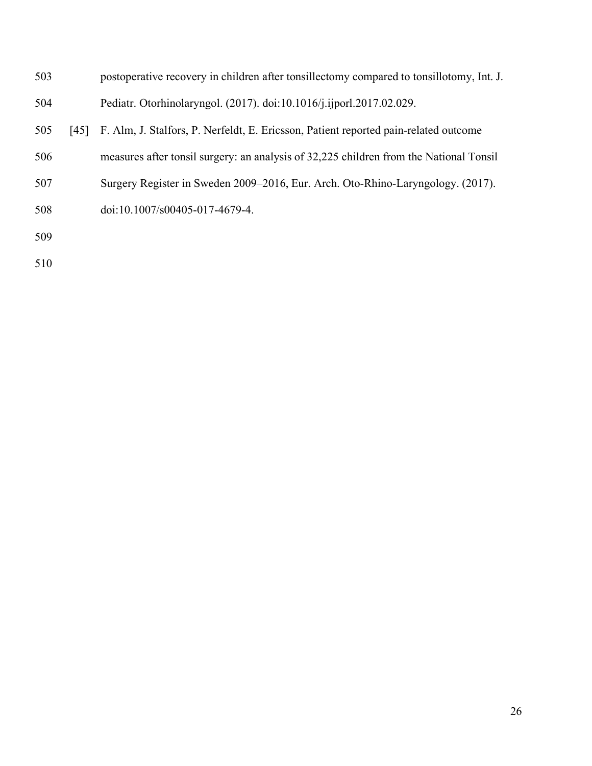| 503 |      | postoperative recovery in children after tonsillectomy compared to tonsillotomy, Int. J. |
|-----|------|------------------------------------------------------------------------------------------|
| 504 |      | Pediatr. Otorhinolaryngol. (2017). doi:10.1016/j.ijporl.2017.02.029.                     |
| 505 | [45] | F. Alm, J. Stalfors, P. Nerfeldt, E. Ericsson, Patient reported pain-related outcome     |
| 506 |      | measures after tonsil surgery: an analysis of 32,225 children from the National Tonsil   |
| 507 |      | Surgery Register in Sweden 2009–2016, Eur. Arch. Oto-Rhino-Laryngology. (2017).          |
| 508 |      | doi:10.1007/s00405-017-4679-4.                                                           |
| 509 |      |                                                                                          |
|     |      |                                                                                          |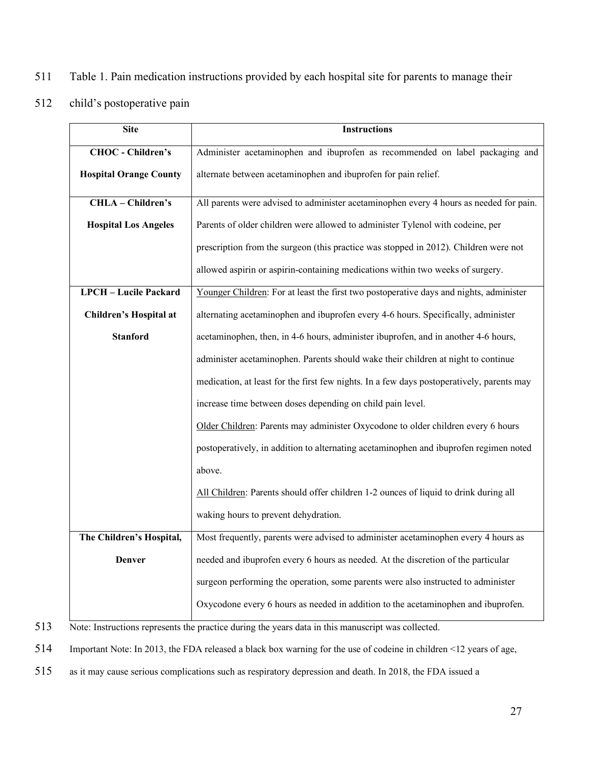- 511 Table 1. Pain medication instructions provided by each hospital site for parents to manage their
- 512 child's postoperative pain

| <b>Site</b>                   | <b>Instructions</b>                                                                       |  |  |  |
|-------------------------------|-------------------------------------------------------------------------------------------|--|--|--|
| <b>CHOC</b> - Children's      | Administer acetaminophen and ibuprofen as recommended on label packaging and              |  |  |  |
| <b>Hospital Orange County</b> | alternate between acetaminophen and ibuprofen for pain relief.                            |  |  |  |
| CHLA - Children's             | All parents were advised to administer acetaminophen every 4 hours as needed for pain.    |  |  |  |
| <b>Hospital Los Angeles</b>   | Parents of older children were allowed to administer Tylenol with codeine, per            |  |  |  |
|                               | prescription from the surgeon (this practice was stopped in 2012). Children were not      |  |  |  |
|                               | allowed aspirin or aspirin-containing medications within two weeks of surgery.            |  |  |  |
| <b>LPCH</b> - Lucile Packard  | Younger Children: For at least the first two postoperative days and nights, administer    |  |  |  |
| Children's Hospital at        | alternating acetaminophen and ibuprofen every 4-6 hours. Specifically, administer         |  |  |  |
| <b>Stanford</b>               | acetaminophen, then, in 4-6 hours, administer ibuprofen, and in another 4-6 hours,        |  |  |  |
|                               | administer acetaminophen. Parents should wake their children at night to continue         |  |  |  |
|                               | medication, at least for the first few nights. In a few days postoperatively, parents may |  |  |  |
|                               | increase time between doses depending on child pain level.                                |  |  |  |
|                               | Older Children: Parents may administer Oxycodone to older children every 6 hours          |  |  |  |
|                               | postoperatively, in addition to alternating acetaminophen and ibuprofen regimen noted     |  |  |  |
|                               | above.                                                                                    |  |  |  |
|                               | All Children: Parents should offer children 1-2 ounces of liquid to drink during all      |  |  |  |
|                               | waking hours to prevent dehydration.                                                      |  |  |  |
| The Children's Hospital,      | Most frequently, parents were advised to administer acetaminophen every 4 hours as        |  |  |  |
| Denver                        | needed and ibuprofen every 6 hours as needed. At the discretion of the particular         |  |  |  |
|                               | surgeon performing the operation, some parents were also instructed to administer         |  |  |  |
|                               | Oxycodone every 6 hours as needed in addition to the acetaminophen and ibuprofen.         |  |  |  |

- 513 Note: Instructions represents the practice during the years data in this manuscript was collected.
- 514 Important Note: In 2013, the FDA released a black box warning for the use of codeine in children <12 years of age,
- 515 as it may cause serious complications such as respiratory depression and death. In 2018, the FDA issued a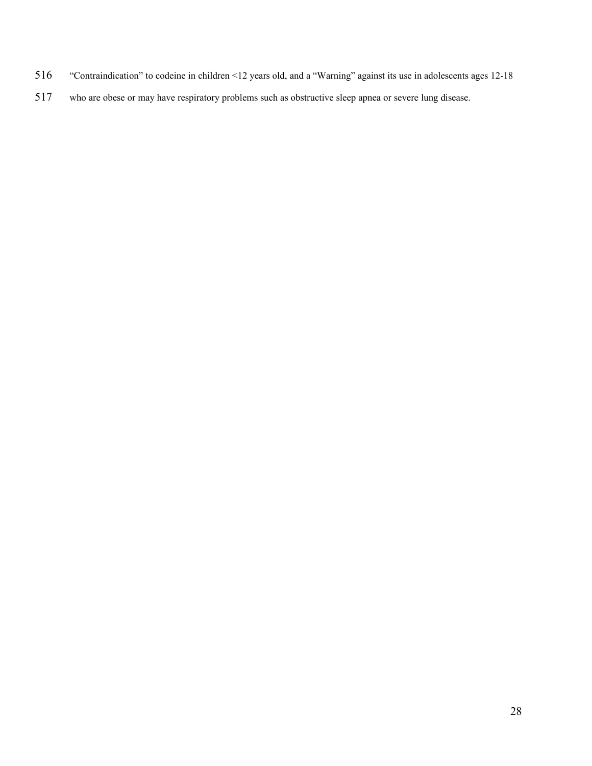- "Contraindication" to codeine in children <12 years old, and a "Warning" against its use in adolescents ages 12-18
- who are obese or may have respiratory problems such as obstructive sleep apnea or severe lung disease.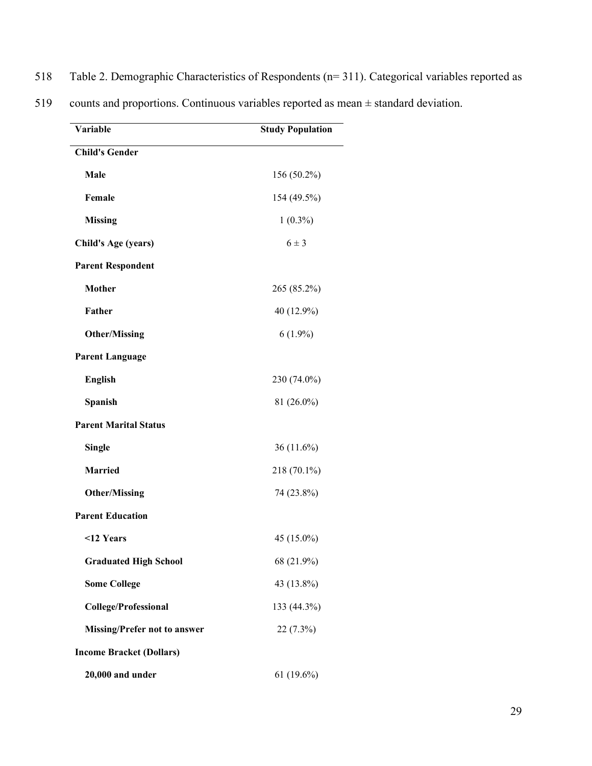| 518 | Table 2. Demographic Characteristics of Respondents $(n=311)$ . Categorical variables reported as |  |  |
|-----|---------------------------------------------------------------------------------------------------|--|--|
|     |                                                                                                   |  |  |

| Variable                            | <b>Study Population</b> |
|-------------------------------------|-------------------------|
| <b>Child's Gender</b>               |                         |
| Male                                | 156 (50.2%)             |
| Female                              | 154 (49.5%)             |
| <b>Missing</b>                      | $1(0.3\%)$              |
| <b>Child's Age (years)</b>          | $6 \pm 3$               |
| <b>Parent Respondent</b>            |                         |
| <b>Mother</b>                       | 265 (85.2%)             |
| Father                              | 40 (12.9%)              |
| <b>Other/Missing</b>                | $6(1.9\%)$              |
| <b>Parent Language</b>              |                         |
| <b>English</b>                      | 230 (74.0%)             |
| Spanish                             | 81 (26.0%)              |
| <b>Parent Marital Status</b>        |                         |
| <b>Single</b>                       | 36 (11.6%)              |
| <b>Married</b>                      | 218 (70.1%)             |
| <b>Other/Missing</b>                | 74 (23.8%)              |
| <b>Parent Education</b>             |                         |
| <12 Years                           | 45 (15.0%)              |
| <b>Graduated High School</b>        | 68 (21.9%)              |
| <b>Some College</b>                 | 43 (13.8%)              |
| <b>College/Professional</b>         | 133 (44.3%)             |
| <b>Missing/Prefer not to answer</b> | 22 (7.3%)               |
| <b>Income Bracket (Dollars)</b>     |                         |
| 20,000 and under                    | 61 (19.6%)              |

519 counts and proportions. Continuous variables reported as mean ± standard deviation.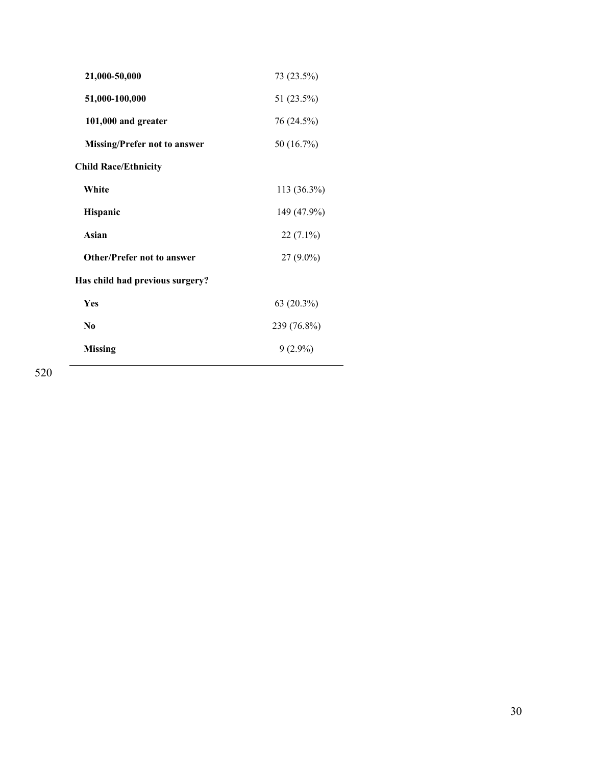| 21,000-50,000                       | 73 (23.5%)  |
|-------------------------------------|-------------|
| 51,000-100,000                      | 51 (23.5%)  |
| 101,000 and greater                 | 76 (24.5%)  |
| <b>Missing/Prefer not to answer</b> | 50 (16.7%)  |
| <b>Child Race/Ethnicity</b>         |             |
| White                               | 113 (36.3%) |
| Hispanic                            | 149 (47.9%) |
| Asian                               | 22 (7.1%)   |
| <b>Other/Prefer not to answer</b>   | $27(9.0\%)$ |
| Has child had previous surgery?     |             |
| Yes                                 | 63 (20.3%)  |
| N <sub>0</sub>                      | 239 (76.8%) |
| <b>Missing</b>                      | $9(2.9\%)$  |
|                                     |             |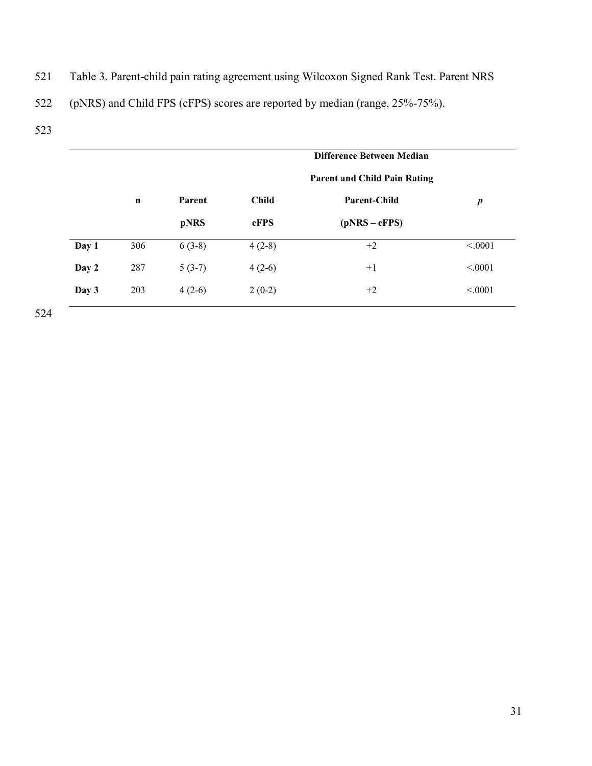- 521 Table 3. Parent-child pain rating agreement using Wilcoxon Signed Rank Test. Parent NRS
- 522 (pNRS) and Child FPS (cFPS) scores are reported by median (range, 25%-75%).
- 523

|       |             |          | Difference Between Median |                                     |                  |
|-------|-------------|----------|---------------------------|-------------------------------------|------------------|
|       |             |          |                           | <b>Parent and Child Pain Rating</b> |                  |
|       | $\mathbf n$ | Parent   | <b>Child</b>              | <b>Parent-Child</b>                 | $\boldsymbol{p}$ |
|       |             | pNRS     | cFPS                      | $(pNRS - cFPS)$                     |                  |
| Day 1 | 306         | $6(3-8)$ | $4(2-8)$                  | $+2$                                | < .0001          |
| Day 2 | 287         | $5(3-7)$ | $4(2-6)$                  | $+1$                                | < 0.001          |
| Day 3 | 203         | $4(2-6)$ | $2(0-2)$                  | $+2$                                | < 0.001          |
|       |             |          |                           |                                     |                  |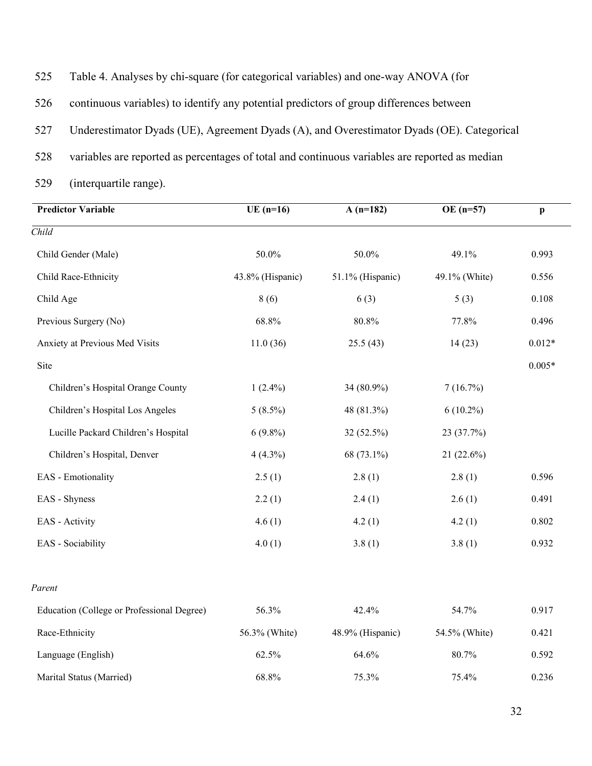| 525 | Table 4. Analyses by chi-square (for categorical variables) and one-way ANOVA (for             |
|-----|------------------------------------------------------------------------------------------------|
| 526 | continuous variables) to identify any potential predictors of group differences between        |
| 527 | Underestimator Dyads (UE), Agreement Dyads (A), and Overestimator Dyads (OE). Categorical      |
| 528 | variables are reported as percentages of total and continuous variables are reported as median |
| 529 | (interquartile range).                                                                         |

| <b>Predictor Variable</b>                  | $\overline{\text{UE (n=16)}}$ | $A(n=182)$       | $OE (n=57)$   | $\mathbf{p}$ |  |
|--------------------------------------------|-------------------------------|------------------|---------------|--------------|--|
| $\overline{Child}$                         |                               |                  |               |              |  |
| Child Gender (Male)                        | 50.0%                         | 50.0%            | 49.1%         | 0.993        |  |
| Child Race-Ethnicity                       | 43.8% (Hispanic)              | 51.1% (Hispanic) | 49.1% (White) | 0.556        |  |
| Child Age                                  | 8(6)                          | 6(3)             | 5(3)          | 0.108        |  |
| Previous Surgery (No)                      | 68.8%                         | 80.8%            | 77.8%         | 0.496        |  |
| Anxiety at Previous Med Visits             | 11.0(36)                      | 25.5(43)         | 14(23)        | $0.012*$     |  |
| Site                                       |                               |                  |               | $0.005*$     |  |
| Children's Hospital Orange County          | $1(2.4\%)$                    | 34 (80.9%)       | 7(16.7%)      |              |  |
| Children's Hospital Los Angeles            | $5(8.5\%)$                    | 48 (81.3%)       | $6(10.2\%)$   |              |  |
| Lucille Packard Children's Hospital        | $6(9.8\%)$                    | 32 (52.5%)       | 23 (37.7%)    |              |  |
| Children's Hospital, Denver                | $4(4.3\%)$                    | 68 (73.1%)       | 21 (22.6%)    |              |  |
| EAS - Emotionality                         | 2.5(1)                        | 2.8(1)           | 2.8(1)        | 0.596        |  |
| EAS - Shyness                              | 2.2(1)                        | 2.4(1)           | 2.6(1)        | 0.491        |  |
| EAS - Activity                             | 4.6(1)                        | 4.2(1)           | 4.2(1)        | 0.802        |  |
| EAS - Sociability                          | 4.0(1)                        | 3.8(1)           | 3.8(1)        | 0.932        |  |
| Parent                                     |                               |                  |               |              |  |
| Education (College or Professional Degree) | 56.3%                         | 42.4%            | 54.7%         | 0.917        |  |
| Race-Ethnicity                             | 56.3% (White)                 | 48.9% (Hispanic) | 54.5% (White) | 0.421        |  |
| Language (English)                         | 62.5%                         | 64.6%            | 80.7%         | 0.592        |  |
| Marital Status (Married)                   | 68.8%                         | 75.3%            | 75.4%         | 0.236        |  |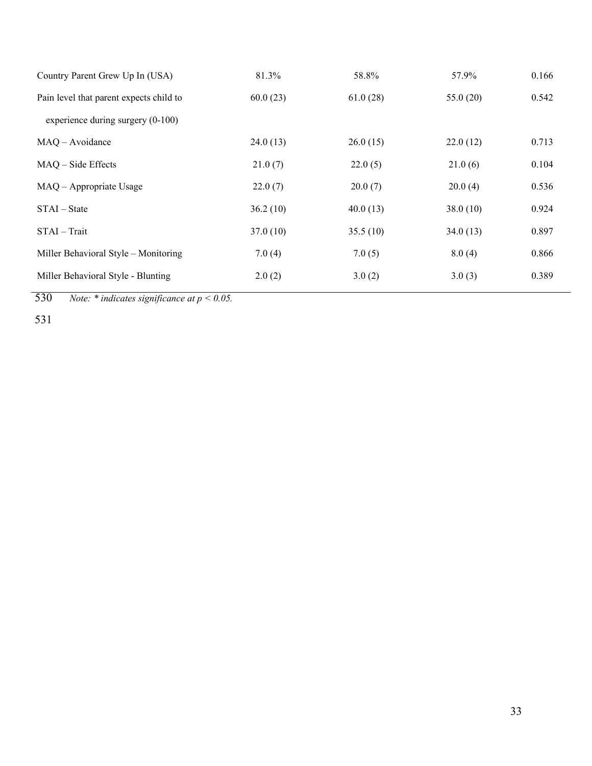| 81.3%    | 58.8%    | 57.9%    | 0.166 |
|----------|----------|----------|-------|
| 60.0(23) | 61.0(28) | 55.0(20) | 0.542 |
|          |          |          |       |
| 24.0(13) | 26.0(15) | 22.0(12) | 0.713 |
| 21.0(7)  | 22.0(5)  | 21.0(6)  | 0.104 |
| 22.0(7)  | 20.0(7)  | 20.0(4)  | 0.536 |
| 36.2(10) | 40.0(13) | 38.0(10) | 0.924 |
| 37.0(10) | 35.5(10) | 34.0(13) | 0.897 |
| 7.0(4)   | 7.0(5)   | 8.0(4)   | 0.866 |
| 2.0(2)   | 3.0(2)   | 3.0(3)   | 0.389 |
|          |          |          |       |

530 *Note: \* indicates significance at p < 0.05.*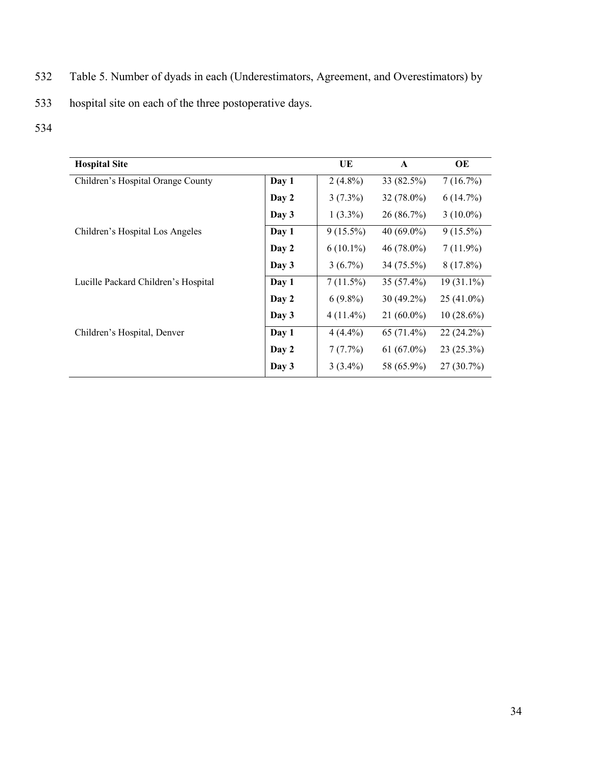- 532 Table 5. Number of dyads in each (Underestimators, Agreement, and Overestimators) by
- 533 hospital site on each of the three postoperative days.
- 534

| <b>Hospital Site</b>                |       | UE          | $\mathbf{A}$  | OE           |
|-------------------------------------|-------|-------------|---------------|--------------|
| Children's Hospital Orange County   | Day 1 | $2(4.8\%)$  | 33 (82.5%)    | 7(16.7%)     |
|                                     | Day 2 | $3(7.3\%)$  | $32(78.0\%)$  | 6(14.7%)     |
|                                     | Day 3 | $1(3.3\%)$  | 26 (86.7%)    | $3(10.0\%)$  |
| Children's Hospital Los Angeles     | Day 1 | $9(15.5\%)$ | 40 $(69.0\%)$ | $9(15.5\%)$  |
|                                     | Day 2 | $6(10.1\%)$ | $46(78.0\%)$  | $7(11.9\%)$  |
|                                     | Day 3 | $3(6.7\%)$  | 34 (75.5%)    | $8(17.8\%)$  |
| Lucille Packard Children's Hospital | Day 1 | $7(11.5\%)$ | $35(57.4\%)$  | $19(31.1\%)$ |
|                                     | Day 2 | $6(9.8\%)$  | 30 (49.2%)    | $25(41.0\%)$ |
|                                     | Day 3 | $4(11.4\%)$ | $21(60.0\%)$  | $10(28.6\%)$ |
| Children's Hospital, Denver         | Day 1 | $4(4.4\%)$  | $65(71.4\%)$  | $22(24.2\%)$ |
|                                     | Day 2 | 7(7.7%)     | $61(67.0\%)$  | $23(25.3\%)$ |
|                                     | Day 3 | $3(3.4\%)$  | 58 (65.9%)    | $27(30.7\%)$ |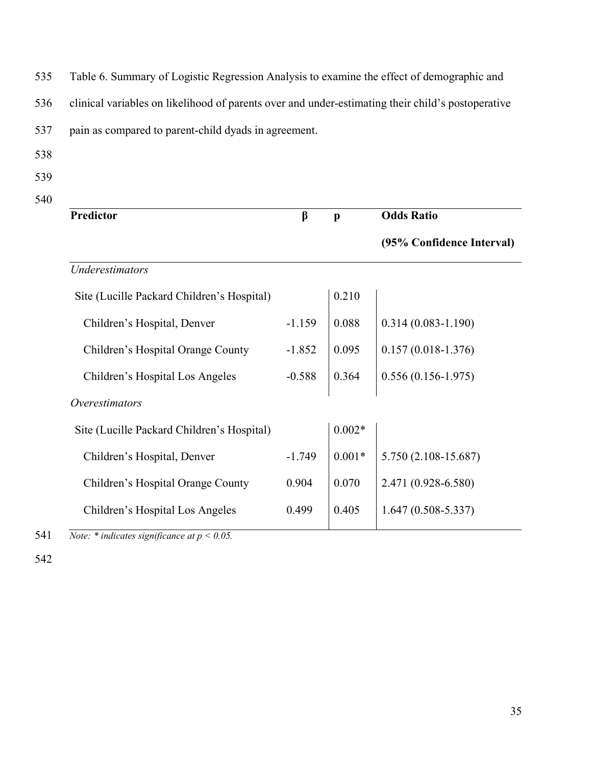535 Table 6. Summary of Logistic Regression Analysis to examine the effect of demographic and

536 clinical variables on likelihood of parents over and under-estimating their child's postoperative

537 pain as compared to parent-child dyads in agreement.

- 538
- 539
- 540

| <b>Predictor</b>                           | $\beta$  | $\mathbf{p}$ | <b>Odds Ratio</b>         |
|--------------------------------------------|----------|--------------|---------------------------|
|                                            |          |              | (95% Confidence Interval) |
| Underestimators                            |          |              |                           |
| Site (Lucille Packard Children's Hospital) |          | 0.210        |                           |
| Children's Hospital, Denver                | $-1.159$ | 0.088        | $0.314(0.083 - 1.190)$    |
| Children's Hospital Orange County          | $-1.852$ | 0.095        | $0.157(0.018-1.376)$      |
| Children's Hospital Los Angeles            | $-0.588$ | 0.364        | $0.556(0.156-1.975)$      |
| <i>Overestimators</i>                      |          |              |                           |
| Site (Lucille Packard Children's Hospital) |          | $0.002*$     |                           |
| Children's Hospital, Denver                | $-1.749$ | $0.001*$     | 5.750 (2.108-15.687)      |
| Children's Hospital Orange County          | 0.904    | 0.070        | 2.471 (0.928-6.580)       |
| Children's Hospital Los Angeles            | 0.499    | 0.405        | $1.647(0.508 - 5.337)$    |
|                                            |          |              |                           |

541 *Note: \* indicates significance at p < 0.05.*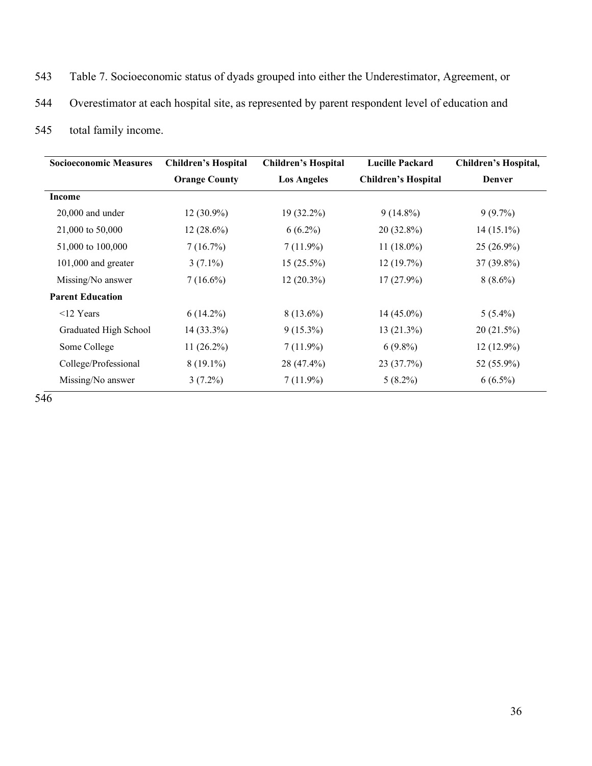- 543 Table 7. Socioeconomic status of dyads grouped into either the Underestimator, Agreement, or
- 544 Overestimator at each hospital site, as represented by parent respondent level of education and
- 545 total family income.

| <b>Socioeconomic Measures</b> | <b>Children's Hospital</b> | <b>Children's Hospital</b> | <b>Lucille Packard</b>     | Children's Hospital, |
|-------------------------------|----------------------------|----------------------------|----------------------------|----------------------|
|                               | <b>Orange County</b>       | <b>Los Angeles</b>         | <b>Children's Hospital</b> | <b>Denver</b>        |
| Income                        |                            |                            |                            |                      |
| $20,000$ and under            | $12(30.9\%)$               | $19(32.2\%)$               | $9(14.8\%)$                | $9(9.7\%)$           |
| 21,000 to 50,000              | $12(28.6\%)$               | $6(6.2\%)$                 | $20(32.8\%)$               | $14(15.1\%)$         |
| 51,000 to 100,000             | 7(16.7%)                   | $7(11.9\%)$                | 11 $(18.0\%)$              | $25(26.9\%)$         |
| $101,000$ and greater         | $3(7.1\%)$                 | $15(25.5\%)$               | 12(19.7%)                  | $37(39.8\%)$         |
| Missing/No answer             | $7(16.6\%)$                | $12(20.3\%)$               | $17(27.9\%)$               | $8(8.6\%)$           |
| <b>Parent Education</b>       |                            |                            |                            |                      |
| $<$ 12 Years                  | $6(14.2\%)$                | $8(13.6\%)$                | $14(45.0\%)$               | $5(5.4\%)$           |
| Graduated High School         | $14(33.3\%)$               | $9(15.3\%)$                | $13(21.3\%)$               | 20(21.5%)            |
| Some College                  | 11 $(26.2\%)$              | $7(11.9\%)$                | $6(9.8\%)$                 | $12(12.9\%)$         |
| College/Professional          | $8(19.1\%)$                | 28 (47.4%)                 | 23 (37.7%)                 | 52 (55.9%)           |
| Missing/No answer             | $3(7.2\%)$                 | $7(11.9\%)$                | $5(8.2\%)$                 | $6(6.5\%)$           |